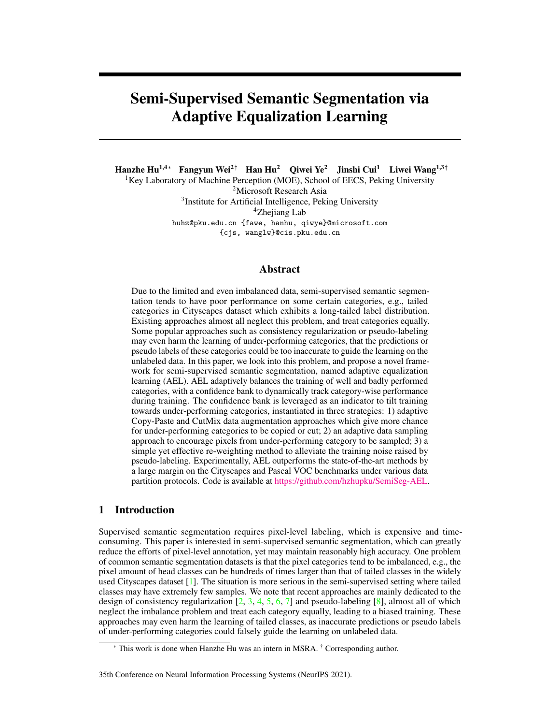# Semi-Supervised Semantic Segmentation via Adaptive Equalization Learning

Hanzhe Hu1,4⇤ Fangyun Wei2*†* Han Hu2 Qiwei Ye2 Jinshi Cui<sup>1</sup> Liwei Wang1,3*†* <sup>1</sup>Key Laboratory of Machine Perception (MOE), School of EECS, Peking University 2Microsoft Research Asia 3Institute for Artificial Intelligence, Peking University 4Zhejiang Lab huhz@pku.edu.cn {fawe, hanhu, qiwye}@microsoft.com

{cjs, wanglw}@cis.pku.edu.cn

# Abstract

Due to the limited and even imbalanced data, semi-supervised semantic segmentation tends to have poor performance on some certain categories, e.g., tailed categories in Cityscapes dataset which exhibits a long-tailed label distribution. Existing approaches almost all neglect this problem, and treat categories equally. Some popular approaches such as consistency regularization or pseudo-labeling may even harm the learning of under-performing categories, that the predictions or pseudo labels of these categories could be too inaccurate to guide the learning on the unlabeled data. In this paper, we look into this problem, and propose a novel framework for semi-supervised semantic segmentation, named adaptive equalization learning (AEL). AEL adaptively balances the training of well and badly performed categories, with a confidence bank to dynamically track category-wise performance during training. The confidence bank is leveraged as an indicator to tilt training towards under-performing categories, instantiated in three strategies: 1) adaptive Copy-Paste and CutMix data augmentation approaches which give more chance for under-performing categories to be copied or cut; 2) an adaptive data sampling approach to encourage pixels from under-performing category to be sampled; 3) a simple yet effective re-weighting method to alleviate the training noise raised by pseudo-labeling. Experimentally, AEL outperforms the state-of-the-art methods by a large margin on the Cityscapes and Pascal VOC benchmarks under various data partition protocols. Code is available at [https://github.com/hzhupku/SemiSeg-AEL.](https://github.com/hzhupku/SemiSeg-AEL)

# <span id="page-0-0"></span>1 Introduction

Supervised semantic segmentation requires pixel-level labeling, which is expensive and timeconsuming. This paper is interested in semi-supervised semantic segmentation, which can greatly reduce the efforts of pixel-level annotation, yet may maintain reasonably high accuracy. One problem of common semantic segmentation datasets is that the pixel categories tend to be imbalanced, e.g., the pixel amount of head classes can be hundreds of times larger than that of tailed classes in the widely used Cityscapes dataset  $[1]$ . The situation is more serious in the semi-supervised setting where tailed classes may have extremely few samples. We note that recent approaches are mainly dedicated to the design of consistency regularization  $[2, 3, 4, 5, 6, 7]$  $[2, 3, 4, 5, 6, 7]$  $[2, 3, 4, 5, 6, 7]$  $[2, 3, 4, 5, 6, 7]$  $[2, 3, 4, 5, 6, 7]$  $[2, 3, 4, 5, 6, 7]$  $[2, 3, 4, 5, 6, 7]$  $[2, 3, 4, 5, 6, 7]$  $[2, 3, 4, 5, 6, 7]$  $[2, 3, 4, 5, 6, 7]$  $[2, 3, 4, 5, 6, 7]$  and pseudo-labeling  $[8]$ , almost all of which neglect the imbalance problem and treat each category equally, leading to a biased training. These approaches may even harm the learning of tailed classes, as inaccurate predictions or pseudo labels of under-performing categories could falsely guide the learning on unlabeled data.

#### 35th Conference on Neural Information Processing Systems (NeurIPS 2021).

<sup>\*</sup> This work is done when Hanzhe Hu was an intern in MSRA. † Corresponding author.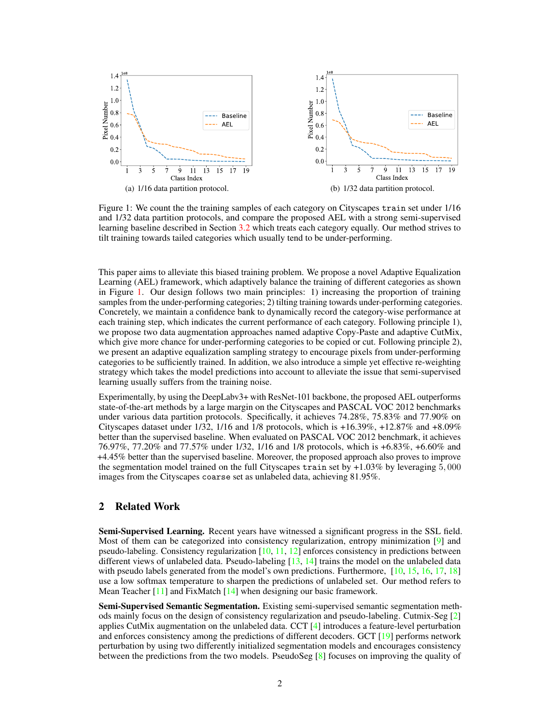<span id="page-1-0"></span>

Figure 1: We count the the training samples of each category on Cityscapes train set under 1/16 and 1/32 data partition protocols, and compare the proposed AEL with a strong semi-supervised learning baseline described in Section [3.2](#page-3-0) which treats each category equally. Our method strives to tilt training towards tailed categories which usually tend to be under-performing.

This paper aims to alleviate this biased training problem. We propose a novel Adaptive Equalization Learning (AEL) framework, which adaptively balance the training of different categories as shown in Figure [1.](#page-1-0) Our design follows two main principles: 1) increasing the proportion of training samples from the under-performing categories; 2) tilting training towards under-performing categories. Concretely, we maintain a confidence bank to dynamically record the category-wise performance at each training step, which indicates the current performance of each category. Following principle 1), we propose two data augmentation approaches named adaptive Copy-Paste and adaptive CutMix, which give more chance for under-performing categories to be copied or cut. Following principle 2), we present an adaptive equalization sampling strategy to encourage pixels from under-performing categories to be sufficiently trained. In addition, we also introduce a simple yet effective re-weighting strategy which takes the model predictions into account to alleviate the issue that semi-supervised learning usually suffers from the training noise.

Experimentally, by using the DeepLabv3+ with ResNet-101 backbone, the proposed AEL outperforms state-of-the-art methods by a large margin on the Cityscapes and PASCAL VOC 2012 benchmarks under various data partition protocols. Specifically, it achieves 74.28%, 75.83% and 77.90% on Cityscapes dataset under 1/32, 1/16 and 1/8 protocols, which is +16.39%, +12.87% and +8.09% better than the supervised baseline. When evaluated on PASCAL VOC 2012 benchmark, it achieves 76.97%, 77.20% and 77.57% under 1/32, 1/16 and 1/8 protocols, which is +6.83%, +6.60% and +4.45% better than the supervised baseline. Moreover, the proposed approach also proves to improve the segmentation model trained on the full Cityscapes train set by +1.03% by leveraging 5*,* 000 images from the Cityscapes coarse set as unlabeled data, achieving 81.95%.

# 2 Related Work

Semi-Supervised Learning. Recent years have witnessed a significant progress in the SSL field. Most of them can be categorized into consistency regularization, entropy minimization [\[9\]](#page-10-8) and pseudo-labeling. Consistency regularization [\[10,](#page-10-9) [11,](#page-10-10) [12\]](#page-10-11) enforces consistency in predictions between different views of unlabeled data. Pseudo-labeling [\[13,](#page-10-12) [14\]](#page-10-13) trains the model on the unlabeled data with pseudo labels generated from the model's own predictions. Furthermore, [\[10,](#page-10-9) [15,](#page-11-0) [16,](#page-11-1) [17,](#page-11-2) [18\]](#page-11-3) use a low softmax temperature to sharpen the predictions of unlabeled set. Our method refers to Mean Teacher [\[11\]](#page-10-10) and FixMatch [\[14\]](#page-10-13) when designing our basic framework.

Semi-Supervised Semantic Segmentation. Existing semi-supervised semantic segmentation methods mainly focus on the design of consistency regularization and pseudo-labeling. Cutmix-Seg [\[2\]](#page-10-1) applies CutMix augmentation on the unlabeled data. CCT [\[4\]](#page-10-3) introduces a feature-level perturbation and enforces consistency among the predictions of different decoders. GCT [\[19\]](#page-11-4) performs network perturbation by using two differently initialized segmentation models and encourages consistency between the predictions from the two models. PseudoSeg [\[8\]](#page-10-7) focuses on improving the quality of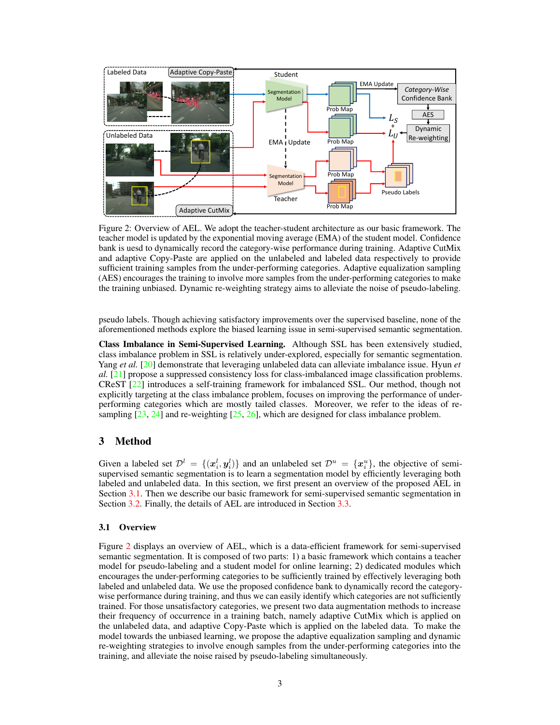<span id="page-2-1"></span>

Figure 2: Overview of AEL. We adopt the teacher-student architecture as our basic framework. The teacher model is updated by the exponential moving average (EMA) of the student model. Confidence bank is uesd to dynamically record the category-wise performance during training. Adaptive CutMix and adaptive Copy-Paste are applied on the unlabeled and labeled data respectively to provide sufficient training samples from the under-performing categories. Adaptive equalization sampling (AES) encourages the training to involve more samples from the under-performing categories to make the training unbiased. Dynamic re-weighting strategy aims to alleviate the noise of pseudo-labeling.

pseudo labels. Though achieving satisfactory improvements over the supervised baseline, none of the aforementioned methods explore the biased learning issue in semi-supervised semantic segmentation.

Class Imbalance in Semi-Supervised Learning. Although SSL has been extensively studied, class imbalance problem in SSL is relatively under-explored, especially for semantic segmentation. Yang *et al.* [\[20\]](#page-11-5) demonstrate that leveraging unlabeled data can alleviate imbalance issue. Hyun *et al.* [\[21\]](#page-11-6) propose a suppressed consistency loss for class-imbalanced image classification problems. CReST [\[22\]](#page-11-7) introduces a self-training framework for imbalanced SSL. Our method, though not explicitly targeting at the class imbalance problem, focuses on improving the performance of underperforming categories which are mostly tailed classes. Moreover, we refer to the ideas of resampling [\[23,](#page-11-8) [24\]](#page-11-9) and re-weighting [\[25,](#page-11-10) [26\]](#page-11-11), which are designed for class imbalance problem.

# 3 Method

Given a labeled set  $\mathcal{D}^l = \{(\mathbf{x}_i^l, \mathbf{y}_i^l)\}\$  and an unlabeled set  $\mathcal{D}^u = \{\mathbf{x}_i^u\}$ , the objective of semisupervised semantic segmentation is to learn a segmentation model by efficiently leveraging both labeled and unlabeled data. In this section, we first present an overview of the proposed AEL in Section [3.1.](#page-2-0) Then we describe our basic framework for semi-supervised semantic segmentation in Section [3.2.](#page-3-0) Finally, the details of AEL are introduced in Section [3.3.](#page-3-1)

## <span id="page-2-0"></span>3.1 Overview

Figure [2](#page-2-1) displays an overview of AEL, which is a data-efficient framework for semi-supervised semantic segmentation. It is composed of two parts: 1) a basic framework which contains a teacher model for pseudo-labeling and a student model for online learning; 2) dedicated modules which encourages the under-performing categories to be sufficiently trained by effectively leveraging both labeled and unlabeled data. We use the proposed confidence bank to dynamically record the categorywise performance during training, and thus we can easily identify which categories are not sufficiently trained. For those unsatisfactory categories, we present two data augmentation methods to increase their frequency of occurrence in a training batch, namely adaptive CutMix which is applied on the unlabeled data, and adaptive Copy-Paste which is applied on the labeled data. To make the model towards the unbiased learning, we propose the adaptive equalization sampling and dynamic re-weighting strategies to involve enough samples from the under-performing categories into the training, and alleviate the noise raised by pseudo-labeling simultaneously.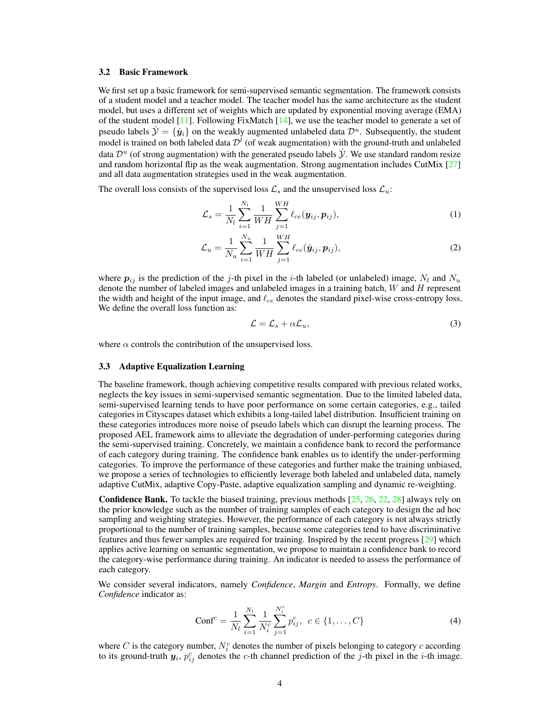## <span id="page-3-0"></span>3.2 Basic Framework

We first set up a basic framework for semi-supervised semantic segmentation. The framework consists of a student model and a teacher model. The teacher model has the same architecture as the student model, but uses a different set of weights which are updated by exponential moving average (EMA) of the student model [\[11\]](#page-10-10). Following FixMatch [\[14\]](#page-10-13), we use the teacher model to generate a set of pseudo labels  $\hat{y} = \{\hat{y}_i\}$  on the weakly augmented unlabeled data  $\mathcal{D}^u$ . Subsequently, the student model is trained on both labeled data  $\mathcal{D}^l$  (of weak augmentation) with the ground-truth and unlabeled data  $\mathcal{D}^u$  (of strong augmentation) with the generated pseudo labels  $\mathcal{Y}$ . We use standard random resize and random horizontal flip as the weak augmentation. Strong augmentation includes CutMix [\[27\]](#page-11-12) and all data augmentation strategies used in the weak augmentation.

The overall loss consists of the supervised loss  $\mathcal{L}_s$  and the unsupervised loss  $\mathcal{L}_u$ :

<span id="page-3-2"></span>
$$
\mathcal{L}_s = \frac{1}{N_l} \sum_{i=1}^{N_l} \frac{1}{WH} \sum_{j=1}^{WH} \ell_{ce}(\mathbf{y}_{ij}, \mathbf{p}_{ij}),
$$
(1)

$$
\mathcal{L}_u = \frac{1}{N_u} \sum_{i=1}^{N_u} \frac{1}{WH} \sum_{j=1}^{WH} \ell_{ce}(\hat{\mathbf{y}}_{ij}, \mathbf{p}_{ij}),
$$
(2)

where  $p_{ij}$  is the prediction of the *j*-th pixel in the *i*-th labeled (or unlabeled) image,  $N_l$  and  $N_u$ denote the number of labeled images and unlabeled images in a training batch, *W* and *H* represent the width and height of the input image, and  $\ell_{ce}$  denotes the standard pixel-wise cross-entropy loss. We define the overall loss function as:

<span id="page-3-4"></span>
$$
\mathcal{L} = \mathcal{L}_s + \alpha \mathcal{L}_u,\tag{3}
$$

where  $\alpha$  controls the contribution of the unsupervised loss.

## <span id="page-3-1"></span>3.3 Adaptive Equalization Learning

The baseline framework, though achieving competitive results compared with previous related works, neglects the key issues in semi-supervised semantic segmentation. Due to the limited labeled data, semi-supervised learning tends to have poor performance on some certain categories, e.g., tailed categories in Cityscapes dataset which exhibits a long-tailed label distribution. Insufficient training on these categories introduces more noise of pseudo labels which can disrupt the learning process. The proposed AEL framework aims to alleviate the degradation of under-performing categories during the semi-supervised training. Concretely, we maintain a confidence bank to record the performance of each category during training. The confidence bank enables us to identify the under-performing categories. To improve the performance of these categories and further make the training unbiased, we propose a series of technologies to efficiently leverage both labeled and unlabeled data, namely adaptive CutMix, adaptive Copy-Paste, adaptive equalization sampling and dynamic re-weighting.

**Confidence Bank.** To tackle the biased training, previous methods  $[25, 26, 22, 28]$  $[25, 26, 22, 28]$  $[25, 26, 22, 28]$  $[25, 26, 22, 28]$  $[25, 26, 22, 28]$  $[25, 26, 22, 28]$  $[25, 26, 22, 28]$  always rely on the prior knowledge such as the number of training samples of each category to design the ad hoc sampling and weighting strategies. However, the performance of each category is not always strictly proportional to the number of training samples, because some categories tend to have discriminative features and thus fewer samples are required for training. Inspired by the recent progress [\[29\]](#page-12-1) which applies active learning on semantic segmentation, we propose to maintain a confidence bank to record the category-wise performance during training. An indicator is needed to assess the performance of each category.

We consider several indicators, namely *Confidence*, *Margin* and *Entropy*. Formally, we define *Confidence* indicator as:

<span id="page-3-3"></span>
$$
Conf^{c} = \frac{1}{N_{l}} \sum_{i=1}^{N_{l}} \frac{1}{N_{i}^{c}} \sum_{j=1}^{N_{i}^{c}} p_{ij}^{c}, \ c \in \{1, ..., C\}
$$
 (4)

where  $C$  is the category number,  $N_i^c$  denotes the number of pixels belonging to category  $c$  according to its ground-truth  $y_i$ ,  $p_{ij}^c$  denotes the *c*-th channel prediction of the *j*-th pixel in the *i*-th image.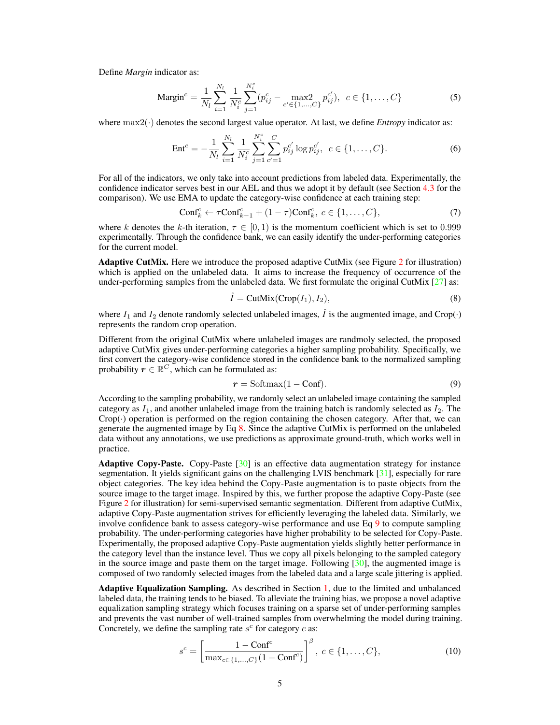Define *Margin* indicator as:

$$
\text{Margin}^c = \frac{1}{N_l} \sum_{i=1}^{N_l} \frac{1}{N_i^c} \sum_{j=1}^{N_i^c} (p_{ij}^c - \max_{c' \in \{1, \dots, C\}} p_{ij}^{c'}), \ c \in \{1, \dots, C\} \tag{5}
$$

where  $\max(2)$  denotes the second largest value operator. At last, we define *Entropy* indicator as:

<span id="page-4-2"></span>
$$
\text{Ent}^c = -\frac{1}{N_l} \sum_{i=1}^{N_l} \frac{1}{N_i^c} \sum_{j=1}^{N_i^c} \sum_{c'=1}^{C} p_{ij}^{c'} \log p_{ij}^{c'}, \ \ c \in \{1, \dots, C\}. \tag{6}
$$

For all of the indicators, we only take into account predictions from labeled data. Experimentally, the confidence indicator serves best in our AEL and thus we adopt it by default (see Section [4.3](#page-7-0) for the comparison). We use EMA to update the category-wise confidence at each training step:

$$
\text{Conf}_{k}^{c} \leftarrow \tau \text{Conf}_{k-1}^{c} + (1-\tau)\text{Conf}_{k}^{c}, \ c \in \{1, \ldots, C\},\tag{7}
$$

where *k* denotes the *k*-th iteration,  $\tau \in [0, 1)$  is the momentum coefficient which is set to 0.999 experimentally. Through the confidence bank, we can easily identify the under-performing categories for the current model.

Adaptive CutMix. Here we introduce the proposed adaptive CutMix (see Figure [2](#page-2-1) for illustration) which is applied on the unlabeled data. It aims to increase the frequency of occurrence of the under-performing samples from the unlabeled data. We first formulate the original CutMix  $[27]$  as:

<span id="page-4-3"></span><span id="page-4-0"></span>
$$
\hat{I} = \text{CutMix}(\text{Crop}(I_1), I_2),\tag{8}
$$

where  $I_1$  and  $I_2$  denote randomly selected unlabeled images,  $\hat{I}$  is the augmented image, and Crop( $\cdot$ ) represents the random crop operation.

Different from the original CutMix where unlabeled images are randmoly selected, the proposed adaptive CutMix gives under-performing categories a higher sampling probability. Specifically, we first convert the category-wise confidence stored in the confidence bank to the normalized sampling probability  $r \in \mathbb{R}^C$ , which can be formulated as:

<span id="page-4-1"></span>
$$
r = \text{Softmax}(1 - \text{Conf}).\tag{9}
$$

According to the sampling probability, we randomly select an unlabeled image containing the sampled category as  $I_1$ , and another unlabeled image from the training batch is randomly selected as  $I_2$ . The Crop(*·*) operation is performed on the region containing the chosen category. After that, we can generate the augmented image by Eq [8.](#page-4-0) Since the adaptive CutMix is performed on the unlabeled data without any annotations, we use predictions as approximate ground-truth, which works well in practice.

**Adaptive Copy-Paste.** Copy-Paste  $\lceil 30 \rceil$  is an effective data augmentation strategy for instance segmentation. It yields significant gains on the challenging LVIS benchmark [\[31\]](#page-12-3), especially for rare object categories. The key idea behind the Copy-Paste augmentation is to paste objects from the source image to the target image. Inspired by this, we further propose the adaptive Copy-Paste (see Figure [2](#page-2-1) for illustration) for semi-supervised semantic segmentation. Different from adaptive CutMix, adaptive Copy-Paste augmentation strives for efficiently leveraging the labeled data. Similarly, we involve confidence bank to assess category-wise performance and use Eq [9](#page-4-1) to compute sampling probability. The under-performing categories have higher probability to be selected for Copy-Paste. Experimentally, the proposed adaptive Copy-Paste augmentation yields slightly better performance in the category level than the instance level. Thus we copy all pixels belonging to the sampled category in the source image and paste them on the target image. Following  $[30]$ , the augmented image is composed of two randomly selected images from the labeled data and a large scale jittering is applied.

Adaptive Equalization Sampling. As described in Section [1,](#page-0-0) due to the limited and unbalanced labeled data, the training tends to be biased. To alleviate the training bias, we propose a novel adaptive equalization sampling strategy which focuses training on a sparse set of under-performing samples and prevents the vast number of well-trained samples from overwhelming the model during training. Concretely, we define the sampling rate  $s^c$  for category  $c$  as:

$$
s^{c} = \left[\frac{1 - \text{Conf}^{c}}{\max_{c \in \{1, ..., C\}} (1 - \text{Conf}^{c})}\right]^{\beta}, \ c \in \{1, ..., C\},\tag{10}
$$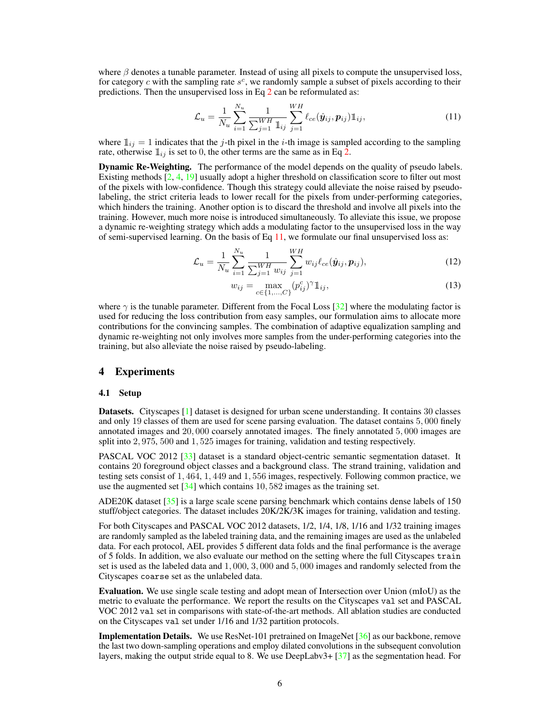where  $\beta$  denotes a tunable parameter. Instead of using all pixels to compute the unsupervised loss, for category *c* with the sampling rate *s<sup>c</sup>*, we randomly sample a subset of pixels according to their predictions. Then the unsupervised loss in Eq [2](#page-3-2) can be reformulated as:

<span id="page-5-0"></span>
$$
\mathcal{L}_u = \frac{1}{N_u} \sum_{i=1}^{N_u} \frac{1}{\sum_{j=1}^{WH} \mathbb{1}_{ij}} \sum_{j=1}^{WH} \ell_{ce}(\hat{\mathbf{y}}_{ij}, \mathbf{p}_{ij}) \mathbb{1}_{ij},
$$
(11)

where  $\mathbb{1}_{ij} = 1$  indicates that the *j*-th pixel in the *i*-th image is sampled according to the sampling rate, otherwise  $\mathbb{I}_{ij}$  is set to 0, the other terms are the same as in Eq [2.](#page-3-2)

Dynamic Re-Weighting. The performance of the model depends on the quality of pseudo labels. Existing methods [\[2,](#page-10-1) [4,](#page-10-3) [19\]](#page-11-4) usually adopt a higher threshold on classification score to filter out most of the pixels with low-confidence. Though this strategy could alleviate the noise raised by pseudolabeling, the strict criteria leads to lower recall for the pixels from under-performing categories, which hinders the training. Another option is to discard the threshold and involve all pixels into the training. However, much more noise is introduced simultaneously. To alleviate this issue, we propose a dynamic re-weighting strategy which adds a modulating factor to the unsupervised loss in the way of semi-supervised learning. On the basis of Eq  $11$ , we formulate our final unsupervised loss as:

$$
\mathcal{L}_u = \frac{1}{N_u} \sum_{i=1}^{N_u} \frac{1}{\sum_{j=1}^{WH} w_{ij}} \sum_{j=1}^{WH} w_{ij} \ell_{ce}(\hat{\mathbf{y}}_{ij}, \mathbf{p}_{ij}),
$$
(12)

<span id="page-5-1"></span>
$$
w_{ij} = \max_{c \in \{1, ..., C\}} (p_{ij}^c)^\gamma \mathbb{1}_{ij},\tag{13}
$$

where  $\gamma$  is the tunable parameter. Different from the Focal Loss [\[32\]](#page-12-4) where the modulating factor is used for reducing the loss contribution from easy samples, our formulation aims to allocate more contributions for the convincing samples. The combination of adaptive equalization sampling and dynamic re-weighting not only involves more samples from the under-performing categories into the training, but also alleviate the noise raised by pseudo-labeling.

# 4 Experiments

#### 4.1 Setup

Datasets. Cityscapes [\[1\]](#page-10-0) dataset is designed for urban scene understanding. It contains 30 classes and only 19 classes of them are used for scene parsing evaluation. The dataset contains 5*,* 000 finely annotated images and 20*,* 000 coarsely annotated images. The finely annotated 5*,* 000 images are split into 2*,* 975, 500 and 1*,* 525 images for training, validation and testing respectively.

PASCAL VOC 2012 [\[33\]](#page-12-5) dataset is a standard object-centric semantic segmentation dataset. It contains 20 foreground object classes and a background class. The strand training, validation and testing sets consist of 1*,* 464, 1*,* 449 and 1*,* 556 images, respectively. Following common practice, we use the augmented set [\[34\]](#page-12-6) which contains 10*,* 582 images as the training set.

ADE20K dataset  $\lceil 35 \rceil$  is a large scale scene parsing benchmark which contains dense labels of 150 stuff/object categories. The dataset includes 20K/2K/3K images for training, validation and testing.

For both Cityscapes and PASCAL VOC 2012 datasets, 1/2, 1/4, 1/8, 1/16 and 1/32 training images are randomly sampled as the labeled training data, and the remaining images are used as the unlabeled data. For each protocol, AEL provides 5 different data folds and the final performance is the average of 5 folds. In addition, we also evaluate our method on the setting where the full Cityscapes train set is used as the labeled data and 1*,* 000, 3*,* 000 and 5*,* 000 images and randomly selected from the Cityscapes coarse set as the unlabeled data.

Evaluation. We use single scale testing and adopt mean of Intersection over Union (mIoU) as the metric to evaluate the performance. We report the results on the Cityscapes val set and PASCAL VOC 2012 val set in comparisons with state-of-the-art methods. All ablation studies are conducted on the Cityscapes val set under 1/16 and 1/32 partition protocols.

**Implementation Details.** We use ResNet-101 pretrained on ImageNet [\[36\]](#page-12-8) as our backbone, remove the last two down-sampling operations and employ dilated convolutions in the subsequent convolution layers, making the output stride equal to 8. We use DeepLabv3+ [\[37\]](#page-12-9) as the segmentation head. For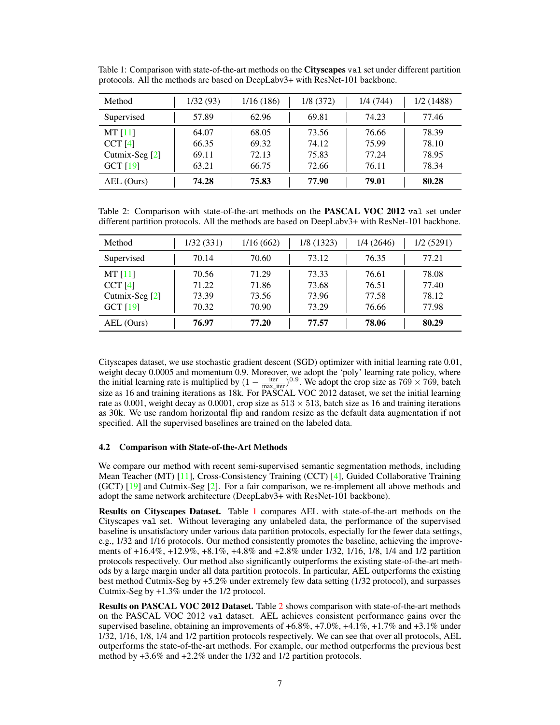| Method           | 1/32(93) | 1/16(186) | 1/8(372) | 1/4(744) | 1/2(1488) |
|------------------|----------|-----------|----------|----------|-----------|
| Supervised       | 57.89    | 62.96     | 69.81    | 74.23    | 77.46     |
| MT[11]           | 64.07    | 68.05     | 73.56    | 76.66    | 78.39     |
| CCT[4]           | 66.35    | 69.32     | 74.12    | 75.99    | 78.10     |
| Cutmix-Seg $[2]$ | 69.11    | 72.13     | 75.83    | 77.24    | 78.95     |
| GCT $[19]$       | 63.21    | 66.75     | 72.66    | 76.11    | 78.34     |
| AEL (Ours)       | 74.28    | 75.83     | 77.90    | 79.01    | 80.28     |

<span id="page-6-0"></span>Table 1: Comparison with state-of-the-art methods on the Cityscapes val set under different partition protocols. All the methods are based on DeepLabv3+ with ResNet-101 backbone.

<span id="page-6-1"></span>Table 2: Comparison with state-of-the-art methods on the PASCAL VOC 2012 val set under different partition protocols. All the methods are based on DeepLabv3+ with ResNet-101 backbone.

| Method         | 1/32(331) | 1/16(662) | 1/8 (1323) | 1/4 (2646) | 1/2(5291) |
|----------------|-----------|-----------|------------|------------|-----------|
| Supervised     | 70.14     | 70.60     | 73.12      | 76.35      | 77.21     |
| MT[11]         | 70.56     | 71.29     | 73.33      | 76.61      | 78.08     |
| CCT[4]         | 71.22     | 71.86     | 73.68      | 76.51      | 77.40     |
| Cutmix-Seg [2] | 73.39     | 73.56     | 73.96      | 77.58      | 78.12     |
| GCT $[19]$     | 70.32     | 70.90     | 73.29      | 76.66      | 77.98     |
| AEL (Ours)     | 76.97     | 77.20     | 77.57      | 78.06      | 80.29     |

Cityscapes dataset, we use stochastic gradient descent (SGD) optimizer with initial learning rate 0.01, weight decay 0.0005 and momentum 0.9. Moreover, we adopt the 'poly' learning rate policy, where the initial learning rate is multiplied by  $(1 - \frac{iter}{max\_iter})^{0.9}$ . We adopt the crop size as  $769 \times 769$ , batch size as 16 and training iterations as 18k. For PASCAL VOC 2012 dataset, we set the initial learning rate as 0.001, weight decay as 0.0001, crop size as  $513 \times 513$ , batch size as 16 and training iterations as 30k. We use random horizontal flip and random resize as the default data augmentation if not specified. All the supervised baselines are trained on the labeled data.

## 4.2 Comparison with State-of-the-Art Methods

We compare our method with recent semi-supervised semantic segmentation methods, including Mean Teacher (MT) [\[11\]](#page-10-10), Cross-Consistency Training (CCT) [\[4\]](#page-10-3), Guided Collaborative Training (GCT) [\[19\]](#page-11-4) and Cutmix-Seg [\[2\]](#page-10-1). For a fair comparison, we re-implement all above methods and adopt the same network architecture (DeepLabv3+ with ResNet-101 backbone).

Results on Cityscapes Dataset. Table [1](#page-6-0) compares AEL with state-of-the-art methods on the Cityscapes val set. Without leveraging any unlabeled data, the performance of the supervised baseline is unsatisfactory under various data partition protocols, especially for the fewer data settings, e.g., 1/32 and 1/16 protocols. Our method consistently promotes the baseline, achieving the improvements of +16.4%, +12.9%, +8.1%, +4.8% and +2.8% under 1/32, 1/16, 1/8, 1/4 and 1/2 partition protocols respectively. Our method also significantly outperforms the existing state-of-the-art methods by a large margin under all data partition protocols. In particular, AEL outperforms the existing best method Cutmix-Seg by +5.2% under extremely few data setting (1/32 protocol), and surpasses Cutmix-Seg by +1.3% under the 1/2 protocol.

Results on PASCAL VOC 2012 Dataset. Table [2](#page-6-1) shows comparison with state-of-the-art methods on the PASCAL VOC 2012 val dataset. AEL achieves consistent performance gains over the supervised baseline, obtaining an improvements of  $+6.8\%$ ,  $+7.0\%$ ,  $+4.1\%$ ,  $+1.7\%$  and  $+3.1\%$  under 1/32, 1/16, 1/8, 1/4 and 1/2 partition protocols respectively. We can see that over all protocols, AEL outperforms the state-of-the-art methods. For example, our method outperforms the previous best method by +3.6% and +2.2% under the 1/32 and 1/2 partition protocols.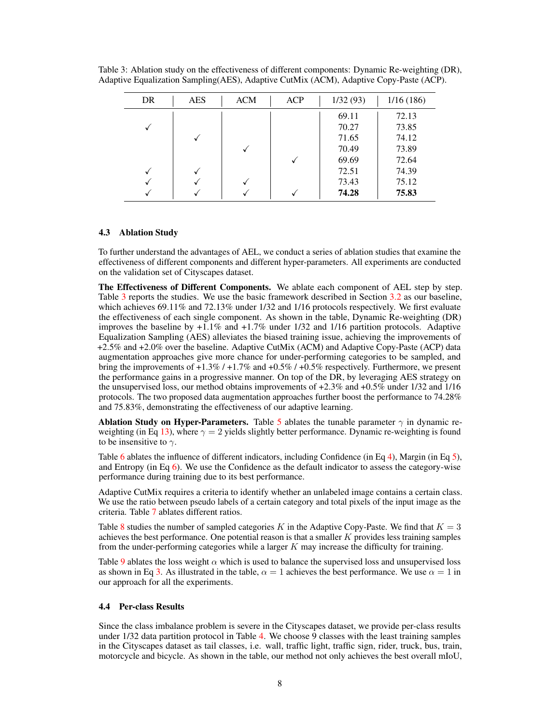| <b>DR</b> | <b>AES</b> | <b>ACM</b> | <b>ACP</b> | 1/32(93) | 1/16(186) |
|-----------|------------|------------|------------|----------|-----------|
|           |            |            |            | 69.11    | 72.13     |
|           |            |            |            | 70.27    | 73.85     |
|           |            |            |            | 71.65    | 74.12     |
|           |            |            |            | 70.49    | 73.89     |
|           |            |            | V          | 69.69    | 72.64     |
|           |            |            |            | 72.51    | 74.39     |
|           |            |            |            | 73.43    | 75.12     |
|           |            |            |            | 74.28    | 75.83     |

<span id="page-7-1"></span>Table 3: Ablation study on the effectiveness of different components: Dynamic Re-weighting (DR), Adaptive Equalization Sampling(AES), Adaptive CutMix (ACM), Adaptive Copy-Paste (ACP).

## <span id="page-7-0"></span>4.3 Ablation Study

To further understand the advantages of AEL, we conduct a series of ablation studies that examine the effectiveness of different components and different hyper-parameters. All experiments are conducted on the validation set of Cityscapes dataset.

The Effectiveness of Different Components. We ablate each component of AEL step by step. Table [3](#page-7-1) reports the studies. We use the basic framework described in Section [3.2](#page-3-0) as our baseline, which achieves 69.11% and 72.13% under 1/32 and 1/16 protocols respectively. We first evaluate the effectiveness of each single component. As shown in the table, Dynamic Re-weighting (DR) improves the baseline by  $+1.1\%$  and  $+1.7\%$  under 1/32 and 1/16 partition protocols. Adaptive Equalization Sampling (AES) alleviates the biased training issue, achieving the improvements of +2.5% and +2.0% over the baseline. Adaptive CutMix (ACM) and Adaptive Copy-Paste (ACP) data augmentation approaches give more chance for under-performing categories to be sampled, and bring the improvements of  $+1.3\%$  /  $+1.7\%$  and  $+0.5\%$  /  $+0.5\%$  respectively. Furthermore, we present the performance gains in a progressive manner. On top of the DR, by leveraging AES strategy on the unsupervised loss, our method obtains improvements of +2.3% and +0.5% under 1/32 and 1/16 protocols. The two proposed data augmentation approaches further boost the performance to 74.28% and 75.83%, demonstrating the effectiveness of our adaptive learning.

Ablation Study on Hyper-Parameters. Table [5](#page-8-0) ablates the tunable parameter  $\gamma$  in dynamic re-weighting (in Eq [13\)](#page-5-1), where  $\gamma = 2$  yields slightly better performance. Dynamic re-weighting is found to be insensitive to  $\gamma$ .

Table [6](#page-8-0) ablates the influence of different indicators, including Confidence (in Eq [4\)](#page-3-3), Margin (in Eq [5\)](#page-4-2), and Entropy (in Eq [6\)](#page-4-3). We use the Confidence as the default indicator to assess the category-wise performance during training due to its best performance.

Adaptive CutMix requires a criteria to identify whether an unlabeled image contains a certain class. We use the ratio between pseudo labels of a certain category and total pixels of the input image as the criteria. Table [7](#page-8-0) ablates different ratios.

Table [8](#page-9-0) studies the number of sampled categories *K* in the Adaptive Copy-Paste. We find that  $K = 3$ achieves the best performance. One potential reason is that a smaller *K* provides less training samples from the under-performing categories while a larger *K* may increase the difficulty for training.

Table [9](#page-9-0) ablates the loss weight  $\alpha$  which is used to balance the supervised loss and unsupervised loss as shown in Eq [3.](#page-3-4) As illustrated in the table,  $\alpha = 1$  achieves the best performance. We use  $\alpha = 1$  in our approach for all the experiments.

## 4.4 Per-class Results

Since the class imbalance problem is severe in the Cityscapes dataset, we provide per-class results under  $1/32$  data partition protocol in Table [4.](#page-8-1) We choose 9 classes with the least training samples in the Cityscapes dataset as tail classes, i.e. wall, traffic light, traffic sign, rider, truck, bus, train, motorcycle and bicycle. As shown in the table, our method not only achieves the best overall mIoU,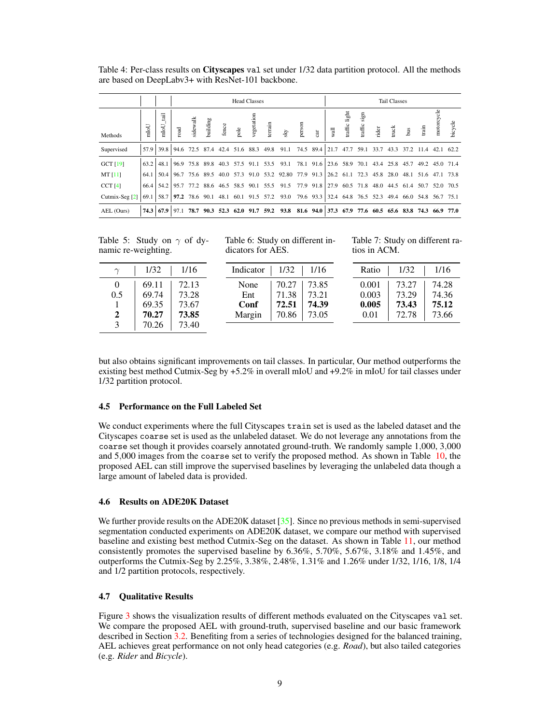<span id="page-8-1"></span>Table 4: Per-class results on Cityscapes val set under 1/32 data partition protocol. All the methods are based on DeepLabv3+ with ResNet-101 backbone.

|                 |              |                                 | <b>Head Classes</b> |          |          |       |      |            |         |                                                                                                 |                                                        |   |                          | <b>Tail Classes</b>               |      |                                                                   |                                         |               |                         |                |           |
|-----------------|--------------|---------------------------------|---------------------|----------|----------|-------|------|------------|---------|-------------------------------------------------------------------------------------------------|--------------------------------------------------------|---|--------------------------|-----------------------------------|------|-------------------------------------------------------------------|-----------------------------------------|---------------|-------------------------|----------------|-----------|
| Methods         | $_{\rm mol}$ | <b>Fig</b><br>mloU <sub>.</sub> | $_{\rm road}$       | sidewalk | building | fence | pole | vegetation | terrain | ΚŊ                                                                                              | person                                                 | Ħ | wall                     | light<br>$\operatorname{traffic}$ | sign | traffic $\begin{array}{c} \text{t} \\ \text{t} \end{array}$ rider | truck                                   | $\frac{3}{2}$ | $\lim_{\epsilon \to 0}$ | motorcycle     | bicycle   |
| Supervised      | 57.9         |                                 |                     |          |          |       |      |            |         | 39.8 94.6 72.5 87.4 42.4 51.6 88.3 49.8 91.1 74.5 89.4 21.7 47.7 59.1                           |                                                        |   |                          |                                   |      | 33.7                                                              | 43.3                                    | 37.2          | 11.4                    |                | 42.1 62.2 |
| <b>GCT</b> [19] | 63.2         | 48.1                            |                     |          |          |       |      |            |         | 96.9 75.8 89.8 40.3 57.5 91.1 53.5 93.1                                                         |                                                        |   | 78.1 91.6 23.6 58.9 70.1 |                                   |      |                                                                   | 43.4 25.8 45.7                          |               |                         | 49.2 45.0 71.4 |           |
| MT[11]          | 64.1         | 50.4                            |                     |          |          |       |      |            |         | 96.7 75.6 89.5 40.0 57.3 91.0 53.2 92.80 77.9 91.3 26.2 61.1 72.3 45.8 28.0 48.1 51.6 47.1 73.8 |                                                        |   |                          |                                   |      |                                                                   |                                         |               |                         |                |           |
| CCT[4]          | 66.4         |                                 |                     |          |          |       |      |            |         | 54.2 95.7 77.2 88.6 46.5 58.5 90.1 55.5 91.5 77.9 91.8 27.9                                     |                                                        |   |                          |                                   |      |                                                                   | 60.5 71.8 48.0 44.5 61.4 50.7 52.0 70.5 |               |                         |                |           |
| Cutmix-Seg [2]  | 69.1         | 58.7                            | 97.2                |          |          |       |      |            |         | 78.6 90.1 48.1 60.1 91.5 57.2 93.0                                                              | 79.6 93.3 32.4 64.8 76.5 52.3 49.4 66.0 54.8 56.7 75.1 |   |                          |                                   |      |                                                                   |                                         |               |                         |                |           |
| AEL (Ours)      | 74.3         | $67.9$   97.1                   |                     | 78.7     |          |       |      |            |         | 90.3 52.3 62.0 91.7 59.2 93.8 81.6 94.0 37.3 67.9 77.6 60.5 65.6 83.8 74.3                      |                                                        |   |                          |                                   |      |                                                                   |                                         |               |                         |                | 66.9 77.0 |

<span id="page-8-0"></span>Table 5: Study on  $\gamma$  of dynamic re-weighting.

| $\gamma$ | 1/32  | 1/16  |
|----------|-------|-------|
| $\Omega$ | 69.11 | 72.13 |
| 0.5      | 69.74 | 73.28 |
|          | 69.35 | 73.67 |
| 2        | 70.27 | 73.85 |
| 3        | 70.26 | 73.40 |

Table 6: Study on different indicators for AES.

| Indicator | 1/32  | 1/16  |
|-----------|-------|-------|
| None      | 70.27 | 73.85 |
| Ent       | 71.38 | 73.21 |
| Conf      | 72.51 | 74.39 |
| Margin    | 70.86 | 73.05 |

Table 7: Study on different ratios in ACM.

| Ratio | 1/32  | 1/16  |
|-------|-------|-------|
| 0.001 | 73.27 | 74.28 |
| 0.003 | 73.29 | 74.36 |
| 0.005 | 73.43 | 75.12 |
| 0.01  | 72.78 | 73.66 |

but also obtains significant improvements on tail classes. In particular, Our method outperforms the existing best method Cutmix-Seg by +5.2% in overall mIoU and +9.2% in mIoU for tail classes under 1/32 partition protocol.

# 4.5 Performance on the Full Labeled Set

We conduct experiments where the full Cityscapes train set is used as the labeled dataset and the Cityscapes coarse set is used as the unlabeled dataset. We do not leverage any annotations from the coarse set though it provides coarsely annotated ground-truth. We randomly sample 1*,*000, 3*,*000 and 5*,*000 images from the coarse set to verify the proposed method. As shown in Table [10,](#page-9-0) the proposed AEL can still improve the supervised baselines by leveraging the unlabeled data though a large amount of labeled data is provided.

## 4.6 Results on ADE20K Dataset

We further provide results on the ADE20K dataset [\[35\]](#page-12-7). Since no previous methods in semi-supervised segmentation conducted experiments on ADE20K dataset, we compare our method with supervised baseline and existing best method Cutmix-Seg on the dataset. As shown in Table [11,](#page-9-1) our method consistently promotes the supervised baseline by 6.36%, 5.70%, 5.67%, 3.18% and 1.45%, and outperforms the Cutmix-Seg by 2.25%, 3.38%, 2.48%, 1.31% and 1.26% under 1/32, 1/16, 1/8, 1/4 and 1/2 partition protocols, respectively.

## 4.7 Qualitative Results

Figure [3](#page-9-2) shows the visualization results of different methods evaluated on the Cityscapes val set. We compare the proposed AEL with ground-truth, supervised baseline and our basic framework described in Section [3.2.](#page-3-0) Benefiting from a series of technologies designed for the balanced training, AEL achieves great performance on not only head categories (e.g. *Road*), but also tailed categories (e.g. *Rider* and *Bicycle*).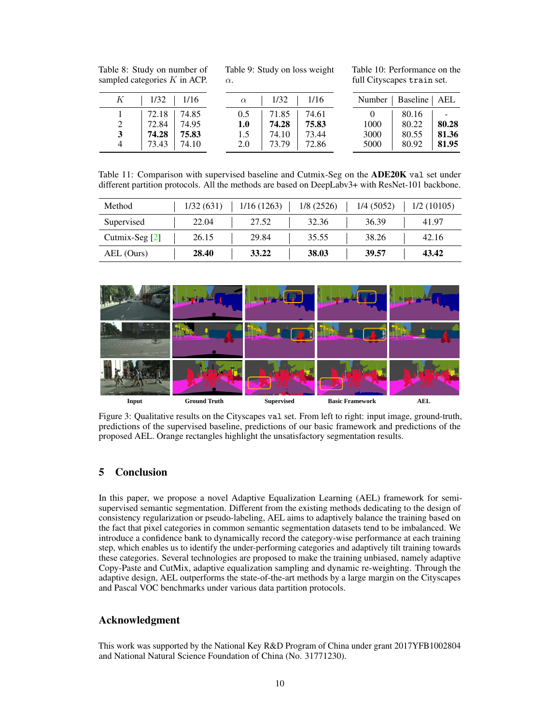<span id="page-9-0"></span>

|  | Table 8: Study on number of    |
|--|--------------------------------|
|  | sampled categories $K$ in ACP. |

Table 9: Study on loss weight  $\alpha$ .

Table 10: Performance on the full Cityscapes train set.

| $K$   1/32   1/16                                                          | $1/32$   $1/16$<br>$\alpha$                                                                           | Number   Baseline   AEL                                                                               |
|----------------------------------------------------------------------------|-------------------------------------------------------------------------------------------------------|-------------------------------------------------------------------------------------------------------|
| $72.18$   $74.85$<br>72.84 74.95<br>2<br>74.28 75.83<br>3<br>73.43   74.10 | $0.5$   71.85   74.61<br>75.83<br> 74.28 <br>1.0<br>73.44<br>$-74.10$<br>1.5<br>$2.0$   73.79   72.86 | 80.16<br>and the state<br>80.28<br>80.22<br>1000<br>80.55<br>3000<br>81.36<br>80.92<br>5000<br> 81.95 |

<span id="page-9-1"></span>Table 11: Comparison with supervised baseline and Cutmix-Seg on the ADE20K val set under different partition protocols. All the methods are based on DeepLabv3+ with ResNet-101 backbone.

| Method           | 1/32(631) | 1/16(1263) | 1/8(2526) | 1/4(5052) | 1/2(10105) |
|------------------|-----------|------------|-----------|-----------|------------|
| Supervised       | 22.04     | 27.52      | 32.36     | 36.39     | 41.97      |
| Cutmix-Seg $[2]$ | 26.15     | 29.84      | 35.55     | 38.26     | 42.16      |
| AEL (Ours)       | 28.40     | 33.22      | 38.03     | 39.57     | 43.42      |

<span id="page-9-2"></span>

Figure 3: Qualitative results on the Cityscapes val set. From left to right: input image, ground-truth, predictions of the supervised baseline, predictions of our basic framework and predictions of the proposed AEL. Orange rectangles highlight the unsatisfactory segmentation results.

# 5 Conclusion

In this paper, we propose a novel Adaptive Equalization Learning (AEL) framework for semisupervised semantic segmentation. Different from the existing methods dedicating to the design of consistency regularization or pseudo-labeling, AEL aims to adaptively balance the training based on the fact that pixel categories in common semantic segmentation datasets tend to be imbalanced. We introduce a confidence bank to dynamically record the category-wise performance at each training step, which enables us to identify the under-performing categories and adaptively tilt training towards these categories. Several technologies are proposed to make the training unbiased, namely adaptive Copy-Paste and CutMix, adaptive equalization sampling and dynamic re-weighting. Through the adaptive design, AEL outperforms the state-of-the-art methods by a large margin on the Cityscapes and Pascal VOC benchmarks under various data partition protocols.

# Acknowledgment

This work was supported by the National Key R&D Program of China under grant 2017YFB1002804 and National Natural Science Foundation of China (No. 31771230).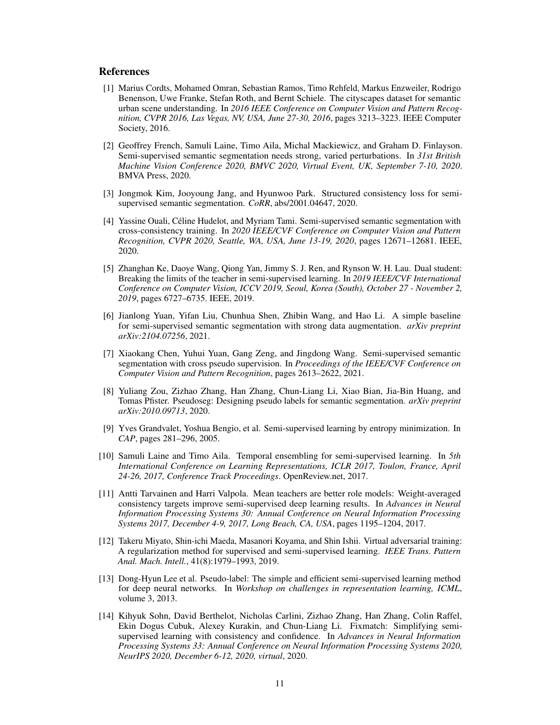## References

- <span id="page-10-0"></span>[1] Marius Cordts, Mohamed Omran, Sebastian Ramos, Timo Rehfeld, Markus Enzweiler, Rodrigo Benenson, Uwe Franke, Stefan Roth, and Bernt Schiele. The cityscapes dataset for semantic urban scene understanding. In *2016 IEEE Conference on Computer Vision and Pattern Recognition, CVPR 2016, Las Vegas, NV, USA, June 27-30, 2016*, pages 3213–3223. IEEE Computer Society, 2016.
- <span id="page-10-1"></span>[2] Geoffrey French, Samuli Laine, Timo Aila, Michal Mackiewicz, and Graham D. Finlayson. Semi-supervised semantic segmentation needs strong, varied perturbations. In *31st British Machine Vision Conference 2020, BMVC 2020, Virtual Event, UK, September 7-10, 2020*. BMVA Press, 2020.
- <span id="page-10-2"></span>[3] Jongmok Kim, Jooyoung Jang, and Hyunwoo Park. Structured consistency loss for semisupervised semantic segmentation. *CoRR*, abs/2001.04647, 2020.
- <span id="page-10-3"></span>[4] Yassine Ouali, Céline Hudelot, and Myriam Tami. Semi-supervised semantic segmentation with cross-consistency training. In *2020 IEEE/CVF Conference on Computer Vision and Pattern Recognition, CVPR 2020, Seattle, WA, USA, June 13-19, 2020*, pages 12671–12681. IEEE, 2020.
- <span id="page-10-4"></span>[5] Zhanghan Ke, Daoye Wang, Qiong Yan, Jimmy S. J. Ren, and Rynson W. H. Lau. Dual student: Breaking the limits of the teacher in semi-supervised learning. In *2019 IEEE/CVF International Conference on Computer Vision, ICCV 2019, Seoul, Korea (South), October 27 - November 2, 2019*, pages 6727–6735. IEEE, 2019.
- <span id="page-10-5"></span>[6] Jianlong Yuan, Yifan Liu, Chunhua Shen, Zhibin Wang, and Hao Li. A simple baseline for semi-supervised semantic segmentation with strong data augmentation. *arXiv preprint arXiv:2104.07256*, 2021.
- <span id="page-10-6"></span>[7] Xiaokang Chen, Yuhui Yuan, Gang Zeng, and Jingdong Wang. Semi-supervised semantic segmentation with cross pseudo supervision. In *Proceedings of the IEEE/CVF Conference on Computer Vision and Pattern Recognition*, pages 2613–2622, 2021.
- <span id="page-10-7"></span>[8] Yuliang Zou, Zizhao Zhang, Han Zhang, Chun-Liang Li, Xiao Bian, Jia-Bin Huang, and Tomas Pfister. Pseudoseg: Designing pseudo labels for semantic segmentation. *arXiv preprint arXiv:2010.09713*, 2020.
- <span id="page-10-8"></span>[9] Yves Grandvalet, Yoshua Bengio, et al. Semi-supervised learning by entropy minimization. In *CAP*, pages 281–296, 2005.
- <span id="page-10-9"></span>[10] Samuli Laine and Timo Aila. Temporal ensembling for semi-supervised learning. In *5th International Conference on Learning Representations, ICLR 2017, Toulon, France, April 24-26, 2017, Conference Track Proceedings*. OpenReview.net, 2017.
- <span id="page-10-10"></span>[11] Antti Tarvainen and Harri Valpola. Mean teachers are better role models: Weight-averaged consistency targets improve semi-supervised deep learning results. In *Advances in Neural Information Processing Systems 30: Annual Conference on Neural Information Processing Systems 2017, December 4-9, 2017, Long Beach, CA, USA*, pages 1195–1204, 2017.
- <span id="page-10-11"></span>[12] Takeru Miyato, Shin-ichi Maeda, Masanori Koyama, and Shin Ishii. Virtual adversarial training: A regularization method for supervised and semi-supervised learning. *IEEE Trans. Pattern Anal. Mach. Intell.*, 41(8):1979–1993, 2019.
- <span id="page-10-12"></span>[13] Dong-Hyun Lee et al. Pseudo-label: The simple and efficient semi-supervised learning method for deep neural networks. In *Workshop on challenges in representation learning, ICML*, volume 3, 2013.
- <span id="page-10-13"></span>[14] Kihyuk Sohn, David Berthelot, Nicholas Carlini, Zizhao Zhang, Han Zhang, Colin Raffel, Ekin Dogus Cubuk, Alexey Kurakin, and Chun-Liang Li. Fixmatch: Simplifying semisupervised learning with consistency and confidence. In *Advances in Neural Information Processing Systems 33: Annual Conference on Neural Information Processing Systems 2020, NeurIPS 2020, December 6-12, 2020, virtual*, 2020.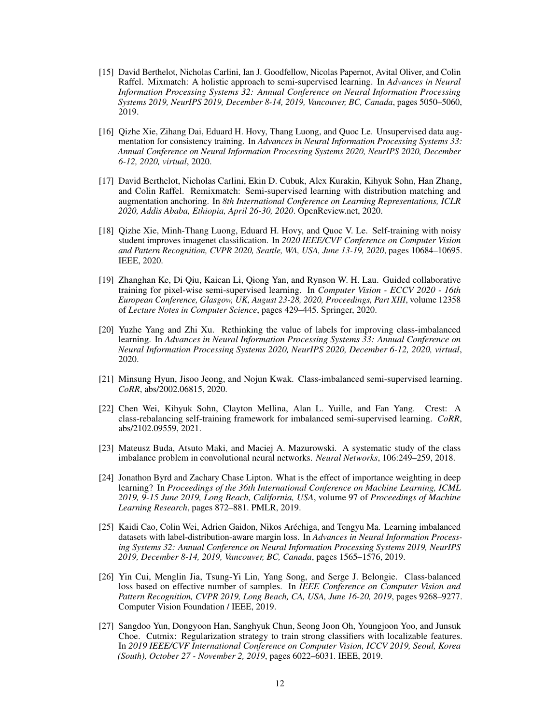- <span id="page-11-0"></span>[15] David Berthelot, Nicholas Carlini, Ian J. Goodfellow, Nicolas Papernot, Avital Oliver, and Colin Raffel. Mixmatch: A holistic approach to semi-supervised learning. In *Advances in Neural Information Processing Systems 32: Annual Conference on Neural Information Processing Systems 2019, NeurIPS 2019, December 8-14, 2019, Vancouver, BC, Canada*, pages 5050–5060, 2019.
- <span id="page-11-1"></span>[16] Qizhe Xie, Zihang Dai, Eduard H. Hovy, Thang Luong, and Quoc Le. Unsupervised data augmentation for consistency training. In *Advances in Neural Information Processing Systems 33: Annual Conference on Neural Information Processing Systems 2020, NeurIPS 2020, December 6-12, 2020, virtual*, 2020.
- <span id="page-11-2"></span>[17] David Berthelot, Nicholas Carlini, Ekin D. Cubuk, Alex Kurakin, Kihyuk Sohn, Han Zhang, and Colin Raffel. Remixmatch: Semi-supervised learning with distribution matching and augmentation anchoring. In *8th International Conference on Learning Representations, ICLR 2020, Addis Ababa, Ethiopia, April 26-30, 2020*. OpenReview.net, 2020.
- <span id="page-11-3"></span>[18] Qizhe Xie, Minh-Thang Luong, Eduard H. Hovy, and Quoc V. Le. Self-training with noisy student improves imagenet classification. In *2020 IEEE/CVF Conference on Computer Vision and Pattern Recognition, CVPR 2020, Seattle, WA, USA, June 13-19, 2020*, pages 10684–10695. IEEE, 2020.
- <span id="page-11-4"></span>[19] Zhanghan Ke, Di Qiu, Kaican Li, Qiong Yan, and Rynson W. H. Lau. Guided collaborative training for pixel-wise semi-supervised learning. In *Computer Vision - ECCV 2020 - 16th European Conference, Glasgow, UK, August 23-28, 2020, Proceedings, Part XIII*, volume 12358 of *Lecture Notes in Computer Science*, pages 429–445. Springer, 2020.
- <span id="page-11-5"></span>[20] Yuzhe Yang and Zhi Xu. Rethinking the value of labels for improving class-imbalanced learning. In *Advances in Neural Information Processing Systems 33: Annual Conference on Neural Information Processing Systems 2020, NeurIPS 2020, December 6-12, 2020, virtual*, 2020.
- <span id="page-11-6"></span>[21] Minsung Hyun, Jisoo Jeong, and Nojun Kwak. Class-imbalanced semi-supervised learning. *CoRR*, abs/2002.06815, 2020.
- <span id="page-11-7"></span>[22] Chen Wei, Kihyuk Sohn, Clayton Mellina, Alan L. Yuille, and Fan Yang. Crest: A class-rebalancing self-training framework for imbalanced semi-supervised learning. *CoRR*, abs/2102.09559, 2021.
- <span id="page-11-8"></span>[23] Mateusz Buda, Atsuto Maki, and Maciej A. Mazurowski. A systematic study of the class imbalance problem in convolutional neural networks. *Neural Networks*, 106:249–259, 2018.
- <span id="page-11-9"></span>[24] Jonathon Byrd and Zachary Chase Lipton. What is the effect of importance weighting in deep learning? In *Proceedings of the 36th International Conference on Machine Learning, ICML 2019, 9-15 June 2019, Long Beach, California, USA*, volume 97 of *Proceedings of Machine Learning Research*, pages 872–881. PMLR, 2019.
- <span id="page-11-10"></span>[25] Kaidi Cao, Colin Wei, Adrien Gaidon, Nikos Aréchiga, and Tengyu Ma. Learning imbalanced datasets with label-distribution-aware margin loss. In *Advances in Neural Information Processing Systems 32: Annual Conference on Neural Information Processing Systems 2019, NeurIPS 2019, December 8-14, 2019, Vancouver, BC, Canada*, pages 1565–1576, 2019.
- <span id="page-11-11"></span>[26] Yin Cui, Menglin Jia, Tsung-Yi Lin, Yang Song, and Serge J. Belongie. Class-balanced loss based on effective number of samples. In *IEEE Conference on Computer Vision and Pattern Recognition, CVPR 2019, Long Beach, CA, USA, June 16-20, 2019*, pages 9268–9277. Computer Vision Foundation / IEEE, 2019.
- <span id="page-11-12"></span>[27] Sangdoo Yun, Dongyoon Han, Sanghyuk Chun, Seong Joon Oh, Youngjoon Yoo, and Junsuk Choe. Cutmix: Regularization strategy to train strong classifiers with localizable features. In *2019 IEEE/CVF International Conference on Computer Vision, ICCV 2019, Seoul, Korea (South), October 27 - November 2, 2019*, pages 6022–6031. IEEE, 2019.